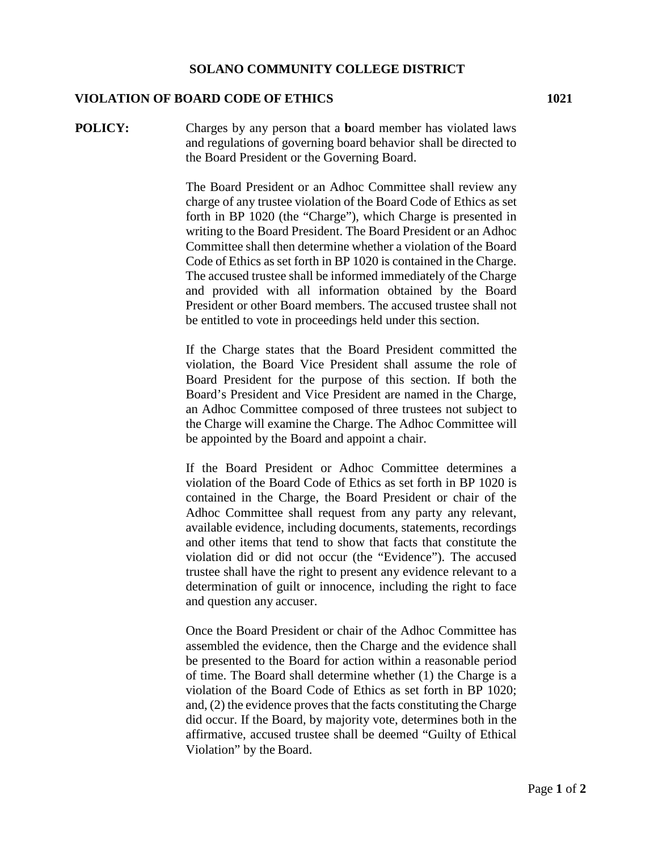## **VIOLATION OF BOARD CODE OF ETHICS 1021**

**POLICY:** Charges by any person that a **b**oard member has violated laws and regulations of governing board behavior shall be directed to the Board President or the Governing Board.

> The Board President or an Adhoc Committee shall review any charge of any trustee violation of the Board Code of Ethics as set forth in BP 1020 (the "Charge"), which Charge is presented in writing to the Board President. The Board President or an Adhoc Committee shall then determine whether a violation of the Board Code of Ethics as set forth in BP 1020 is contained in the Charge. The accused trustee shall be informed immediately of the Charge and provided with all information obtained by the Board President or other Board members. The accused trustee shall not be entitled to vote in proceedings held under this section.

> If the Charge states that the Board President committed the violation, the Board Vice President shall assume the role of Board President for the purpose of this section. If both the Board's President and Vice President are named in the Charge, an Adhoc Committee composed of three trustees not subject to the Charge will examine the Charge. The Adhoc Committee will be appointed by the Board and appoint a chair.

> If the Board President or Adhoc Committee determines a violation of the Board Code of Ethics as set forth in BP 1020 is contained in the Charge, the Board President or chair of the Adhoc Committee shall request from any party any relevant, available evidence, including documents, statements, recordings and other items that tend to show that facts that constitute the violation did or did not occur (the "Evidence"). The accused trustee shall have the right to present any evidence relevant to a determination of guilt or innocence, including the right to face and question any accuser.

> Once the Board President or chair of the Adhoc Committee has assembled the evidence, then the Charge and the evidence shall be presented to the Board for action within a reasonable period of time. The Board shall determine whether (1) the Charge is a violation of the Board Code of Ethics as set forth in BP 1020; and, (2) the evidence proves that the facts constituting the Charge did occur. If the Board, by majority vote, determines both in the affirmative, accused trustee shall be deemed "Guilty of Ethical Violation" by the Board.